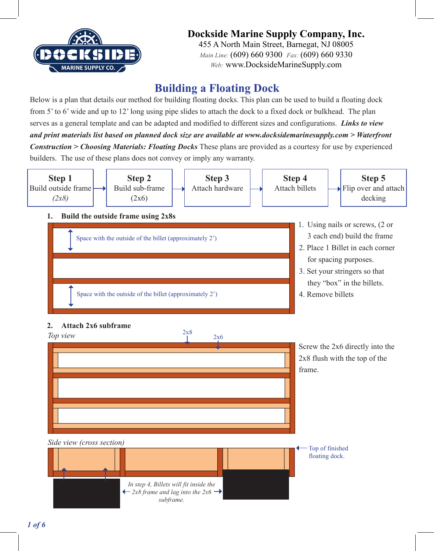

## **Dockside Marine Supply Company, Inc.**

455 A North Main Street, Barnegat, NJ 08005 *Main Line:* (609) 660 9300 *Fax:* (609) 660 9330 *Web:* www.DocksideMarineSupply.com

# **Building a Floating Dock**

Below is a plan that details our method for building floating docks. This plan can be used to build a floating dock from 5' to 6' wide and up to 12' long using pipe slides to attach the dock to a fixed dock or bulkhead. The plan serves as a general template and can be adapted and modified to different sizes and configurations. *Links to view and print materials list based on planned dock size are available at www.docksidemarinesupply.com > Waterfront Construction > Choosing Materials: Floating Docks* These plans are provided as a courtesy for use by experienced builders. The use of these plans does not convey or imply any warranty.



## **2. Attach 2x6 subframe**





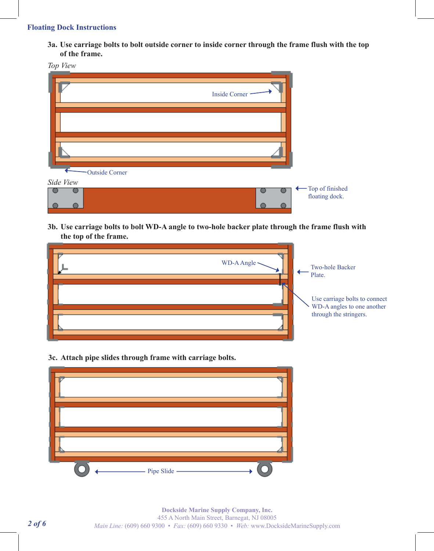**3a. Use carriage bolts to bolt outside corner to inside corner through the frame flush with the top of the frame.**





**3b. Use carriage bolts to bolt WD-A angle to two-hole backer plate through the frame flush with the top of the frame.** 



**3c. Attach pipe slides through frame with carriage bolts.**

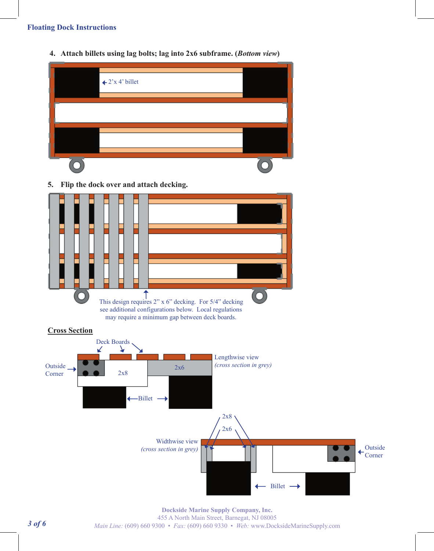**4. Attach billets using lag bolts; lag into 2x6 subframe. (***Bottom view***)**



**5. Flip the dock over and attach decking.**







**Dockside Marine Supply Company, Inc.** 455 A North Main Street, Barnegat, NJ 08005 *3 of 6 Main Line:* (609) 660 9300 • *Fax:* (609) 660 9330 • *Web:* www.DocksideMarineSupply.com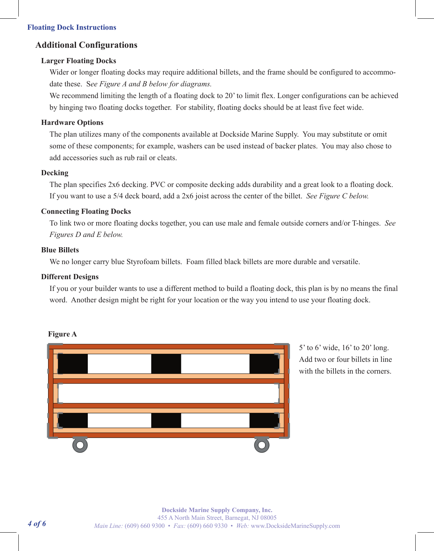## **Additional Configurations**

#### **Larger Floating Docks**

Wider or longer floating docks may require additional billets, and the frame should be configured to accommodate these. S*ee Figure A and B below for diagrams.*

We recommend limiting the length of a floating dock to 20' to limit flex. Longer configurations can be achieved by hinging two floating docks together. For stability, floating docks should be at least five feet wide.

#### **Hardware Options**

The plan utilizes many of the components available at Dockside Marine Supply. You may substitute or omit some of these components; for example, washers can be used instead of backer plates. You may also chose to add accessories such as rub rail or cleats.

#### **Decking**

The plan specifies 2x6 decking. PVC or composite decking adds durability and a great look to a floating dock. If you want to use a 5/4 deck board, add a 2x6 joist across the center of the billet. *See Figure C below.*

#### **Connecting Floating Docks**

To link two or more floating docks together, you can use male and female outside corners and/or T-hinges. *See Figures D and E below.*

#### **Blue Billets**

We no longer carry blue Styrofoam billets. Foam filled black billets are more durable and versatile.

#### **Different Designs**

If you or your builder wants to use a different method to build a floating dock, this plan is by no means the final word. Another design might be right for your location or the way you intend to use your floating dock.



5' to 6' wide, 16' to 20' long. Add two or four billets in line with the billets in the corners.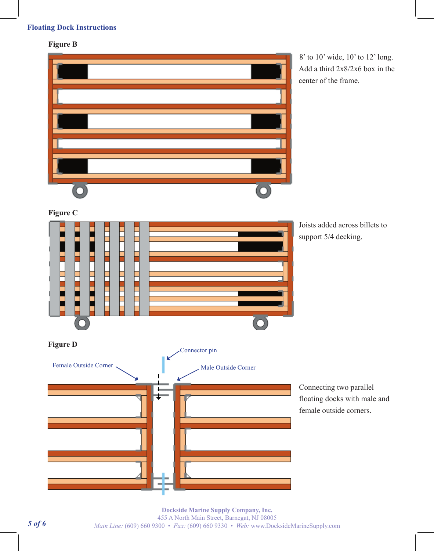## **Figure B**



8' to 10' wide, 10' to 12' long. Add a third 2x8/2x6 box in the center of the frame.

## **Figure C**



**Dockside Marine Supply Company, Inc.** 455 A North Main Street, Barnegat, NJ 08005 *5 of 6 Main Line:* (609) 660 9300 • *Fax:* (609) 660 9330 • *Web:* www.DocksideMarineSupply.com